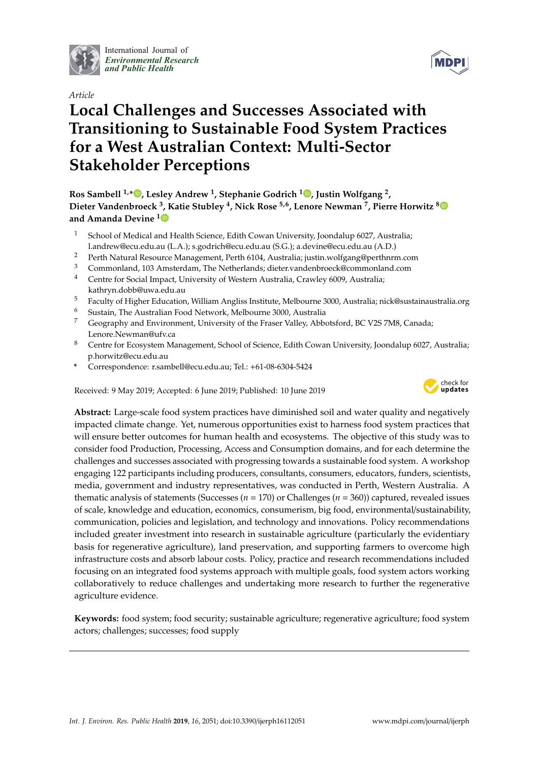

International Journal of *[Environmental Research](http://www.mdpi.com/journal/ijerph) and Public Health*



# **Local Challenges and Successes Associated with Transitioning to Sustainable Food System Practices for a West Australian Context: Multi-Sector Stakeholder Perceptions**

**Ros Sambell 1,[\\*](https://orcid.org/0000-0002-8799-3441) , Lesley Andrew <sup>1</sup> , Stephanie Godrich <sup>1</sup> [,](https://orcid.org/0000-0003-3067-8253) Justin Wolfgang <sup>2</sup> , Dieter Vandenbroeck <sup>3</sup> , Katie Stubley <sup>4</sup> , Nick Rose 5,6, Lenore Newman <sup>7</sup> , Pierre Horwitz [8](https://orcid.org/0000-0002-8689-7888) and Amanda Devine [1](https://orcid.org/0000-0001-6978-6249)**

- <sup>1</sup> School of Medical and Health Science, Edith Cowan University, Joondalup 6027, Australia; l.andrew@ecu.edu.au (L.A.); s.godrich@ecu.edu.au (S.G.); a.devine@ecu.edu.au (A.D.)
- <sup>2</sup> Perth Natural Resource Management, Perth 6104, Australia; justin.wolfgang@perthnrm.com
- <sup>3</sup> Commonland, 103 Amsterdam, The Netherlands; dieter.vandenbroeck@commonland.com
- <sup>4</sup> Centre for Social Impact, University of Western Australia, Crawley 6009, Australia; kathryn.dobb@uwa.edu.au
- 5 Faculty of Higher Education, William Angliss Institute, Melbourne 3000, Australia; nick@sustainaustralia.org<br>6 Sustain The Australian Food Meturerk Melbourne 3000, Australia
- <sup>6</sup> Sustain, The Australian Food Network, Melbourne 3000, Australia
- <sup>7</sup> Geography and Environment, University of the Fraser Valley, Abbotsford, BC V2S 7M8, Canada; Lenore.Newman@ufv.ca
- <sup>8</sup> Centre for Ecosystem Management, School of Science, Edith Cowan University, Joondalup 6027, Australia; p.horwitz@ecu.edu.au
- **\*** Correspondence: r.sambell@ecu.edu.au; Tel.: +61-08-6304-5424

Received: 9 May 2019; Accepted: 6 June 2019; Published: 10 June 2019



**Abstract:** Large-scale food system practices have diminished soil and water quality and negatively impacted climate change. Yet, numerous opportunities exist to harness food system practices that will ensure better outcomes for human health and ecosystems. The objective of this study was to consider food Production, Processing, Access and Consumption domains, and for each determine the challenges and successes associated with progressing towards a sustainable food system. A workshop engaging 122 participants including producers, consultants, consumers, educators, funders, scientists, media, government and industry representatives, was conducted in Perth, Western Australia. A thematic analysis of statements (Successes (*n* = 170) or Challenges (*n* = 360)) captured, revealed issues of scale, knowledge and education, economics, consumerism, big food, environmental/sustainability, communication, policies and legislation, and technology and innovations. Policy recommendations included greater investment into research in sustainable agriculture (particularly the evidentiary basis for regenerative agriculture), land preservation, and supporting farmers to overcome high infrastructure costs and absorb labour costs. Policy, practice and research recommendations included focusing on an integrated food systems approach with multiple goals, food system actors working collaboratively to reduce challenges and undertaking more research to further the regenerative agriculture evidence.

**Keywords:** food system; food security; sustainable agriculture; regenerative agriculture; food system actors; challenges; successes; food supply

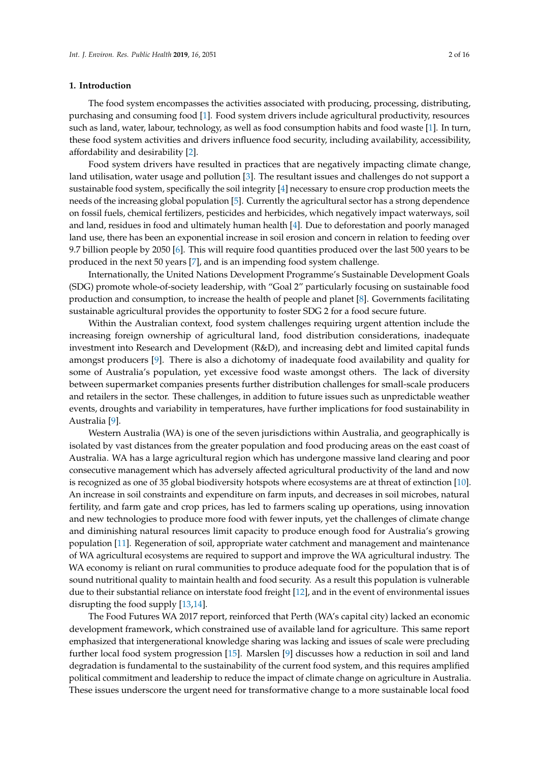# **1. Introduction**

The food system encompasses the activities associated with producing, processing, distributing, purchasing and consuming food [\[1\]](#page-13-0). Food system drivers include agricultural productivity, resources such as land, water, labour, technology, as well as food consumption habits and food waste [\[1\]](#page-13-0). In turn, these food system activities and drivers influence food security, including availability, accessibility, affordability and desirability [\[2\]](#page-13-1).

Food system drivers have resulted in practices that are negatively impacting climate change, land utilisation, water usage and pollution [\[3\]](#page-13-2). The resultant issues and challenges do not support a sustainable food system, specifically the soil integrity [\[4\]](#page-13-3) necessary to ensure crop production meets the needs of the increasing global population [\[5\]](#page-13-4). Currently the agricultural sector has a strong dependence on fossil fuels, chemical fertilizers, pesticides and herbicides, which negatively impact waterways, soil and land, residues in food and ultimately human health [\[4\]](#page-13-3). Due to deforestation and poorly managed land use, there has been an exponential increase in soil erosion and concern in relation to feeding over 9.7 billion people by 2050 [\[6\]](#page-14-0). This will require food quantities produced over the last 500 years to be produced in the next 50 years [\[7\]](#page-14-1), and is an impending food system challenge.

Internationally, the United Nations Development Programme's Sustainable Development Goals (SDG) promote whole-of-society leadership, with "Goal 2" particularly focusing on sustainable food production and consumption, to increase the health of people and planet [\[8\]](#page-14-2). Governments facilitating sustainable agricultural provides the opportunity to foster SDG 2 for a food secure future.

Within the Australian context, food system challenges requiring urgent attention include the increasing foreign ownership of agricultural land, food distribution considerations, inadequate investment into Research and Development (R&D), and increasing debt and limited capital funds amongst producers [\[9\]](#page-14-3). There is also a dichotomy of inadequate food availability and quality for some of Australia's population, yet excessive food waste amongst others. The lack of diversity between supermarket companies presents further distribution challenges for small-scale producers and retailers in the sector. These challenges, in addition to future issues such as unpredictable weather events, droughts and variability in temperatures, have further implications for food sustainability in Australia [\[9\]](#page-14-3).

Western Australia (WA) is one of the seven jurisdictions within Australia, and geographically is isolated by vast distances from the greater population and food producing areas on the east coast of Australia. WA has a large agricultural region which has undergone massive land clearing and poor consecutive management which has adversely affected agricultural productivity of the land and now is recognized as one of 35 global biodiversity hotspots where ecosystems are at threat of extinction [\[10\]](#page-14-4). An increase in soil constraints and expenditure on farm inputs, and decreases in soil microbes, natural fertility, and farm gate and crop prices, has led to farmers scaling up operations, using innovation and new technologies to produce more food with fewer inputs, yet the challenges of climate change and diminishing natural resources limit capacity to produce enough food for Australia's growing population [\[11\]](#page-14-5). Regeneration of soil, appropriate water catchment and management and maintenance of WA agricultural ecosystems are required to support and improve the WA agricultural industry. The WA economy is reliant on rural communities to produce adequate food for the population that is of sound nutritional quality to maintain health and food security. As a result this population is vulnerable due to their substantial reliance on interstate food freight [\[12\]](#page-14-6), and in the event of environmental issues disrupting the food supply [\[13,](#page-14-7)[14\]](#page-14-8).

The Food Futures WA 2017 report, reinforced that Perth (WA's capital city) lacked an economic development framework, which constrained use of available land for agriculture. This same report emphasized that intergenerational knowledge sharing was lacking and issues of scale were precluding further local food system progression [\[15\]](#page-14-9). Marslen [\[9\]](#page-14-3) discusses how a reduction in soil and land degradation is fundamental to the sustainability of the current food system, and this requires amplified political commitment and leadership to reduce the impact of climate change on agriculture in Australia. These issues underscore the urgent need for transformative change to a more sustainable local food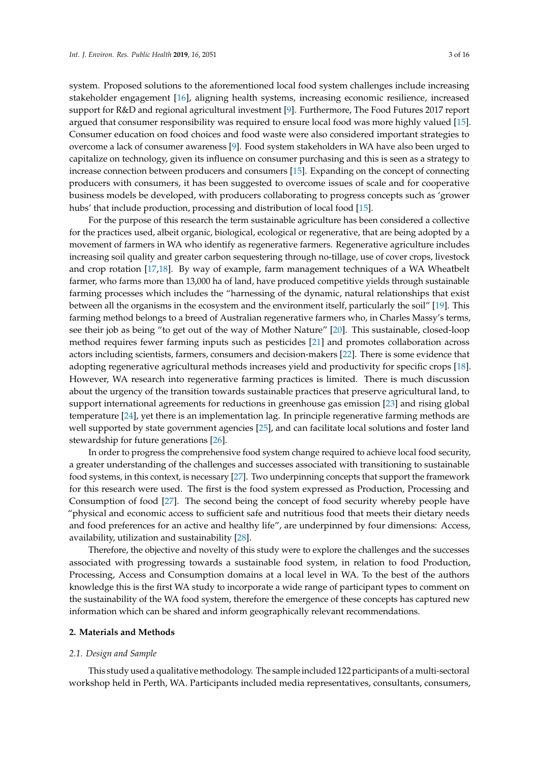system. Proposed solutions to the aforementioned local food system challenges include increasing stakeholder engagement [\[16\]](#page-14-10), aligning health systems, increasing economic resilience, increased support for R&D and regional agricultural investment [\[9\]](#page-14-3). Furthermore, The Food Futures 2017 report argued that consumer responsibility was required to ensure local food was more highly valued [\[15\]](#page-14-9). Consumer education on food choices and food waste were also considered important strategies to overcome a lack of consumer awareness [\[9\]](#page-14-3). Food system stakeholders in WA have also been urged to capitalize on technology, given its influence on consumer purchasing and this is seen as a strategy to increase connection between producers and consumers [\[15\]](#page-14-9). Expanding on the concept of connecting producers with consumers, it has been suggested to overcome issues of scale and for cooperative business models be developed, with producers collaborating to progress concepts such as 'grower

hubs' that include production, processing and distribution of local food [\[15\]](#page-14-9).

For the purpose of this research the term sustainable agriculture has been considered a collective for the practices used, albeit organic, biological, ecological or regenerative, that are being adopted by a movement of farmers in WA who identify as regenerative farmers. Regenerative agriculture includes increasing soil quality and greater carbon sequestering through no-tillage, use of cover crops, livestock and crop rotation [\[17](#page-14-11)[,18\]](#page-14-12). By way of example, farm management techniques of a WA Wheatbelt farmer, who farms more than 13,000 ha of land, have produced competitive yields through sustainable farming processes which includes the "harnessing of the dynamic, natural relationships that exist between all the organisms in the ecosystem and the environment itself, particularly the soil" [\[19\]](#page-14-13). This farming method belongs to a breed of Australian regenerative farmers who, in Charles Massy's terms, see their job as being "to get out of the way of Mother Nature" [\[20\]](#page-14-14). This sustainable, closed-loop method requires fewer farming inputs such as pesticides [\[21\]](#page-14-15) and promotes collaboration across actors including scientists, farmers, consumers and decision-makers [\[22\]](#page-14-16). There is some evidence that adopting regenerative agricultural methods increases yield and productivity for specific crops [\[18\]](#page-14-12). However, WA research into regenerative farming practices is limited. There is much discussion about the urgency of the transition towards sustainable practices that preserve agricultural land, to support international agreements for reductions in greenhouse gas emission [\[23\]](#page-14-17) and rising global temperature [\[24\]](#page-14-18), yet there is an implementation lag. In principle regenerative farming methods are well supported by state government agencies [\[25\]](#page-14-19), and can facilitate local solutions and foster land stewardship for future generations [\[26\]](#page-14-20).

In order to progress the comprehensive food system change required to achieve local food security, a greater understanding of the challenges and successes associated with transitioning to sustainable food systems, in this context, is necessary [\[27\]](#page-14-21). Two underpinning concepts that support the framework for this research were used. The first is the food system expressed as Production, Processing and Consumption of food [\[27\]](#page-14-21). The second being the concept of food security whereby people have "physical and economic access to sufficient safe and nutritious food that meets their dietary needs and food preferences for an active and healthy life", are underpinned by four dimensions: Access, availability, utilization and sustainability [\[28\]](#page-14-22).

Therefore, the objective and novelty of this study were to explore the challenges and the successes associated with progressing towards a sustainable food system, in relation to food Production, Processing, Access and Consumption domains at a local level in WA. To the best of the authors knowledge this is the first WA study to incorporate a wide range of participant types to comment on the sustainability of the WA food system, therefore the emergence of these concepts has captured new information which can be shared and inform geographically relevant recommendations.

#### **2. Materials and Methods**

#### *2.1. Design and Sample*

This study used a qualitative methodology. The sample included 122 participants of a multi-sectoral workshop held in Perth, WA. Participants included media representatives, consultants, consumers,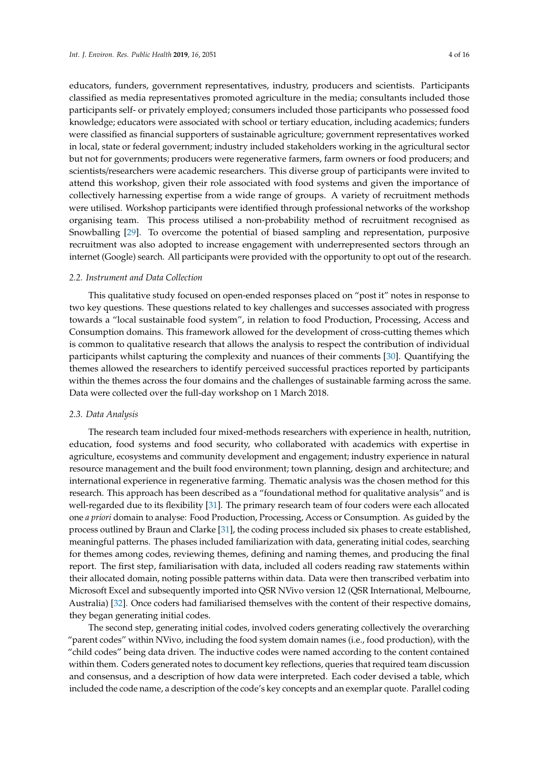educators, funders, government representatives, industry, producers and scientists. Participants classified as media representatives promoted agriculture in the media; consultants included those participants self- or privately employed; consumers included those participants who possessed food knowledge; educators were associated with school or tertiary education, including academics; funders were classified as financial supporters of sustainable agriculture; government representatives worked in local, state or federal government; industry included stakeholders working in the agricultural sector but not for governments; producers were regenerative farmers, farm owners or food producers; and scientists/researchers were academic researchers. This diverse group of participants were invited to attend this workshop, given their role associated with food systems and given the importance of collectively harnessing expertise from a wide range of groups. A variety of recruitment methods were utilised. Workshop participants were identified through professional networks of the workshop organising team. This process utilised a non-probability method of recruitment recognised as Snowballing [\[29\]](#page-14-23). To overcome the potential of biased sampling and representation, purposive recruitment was also adopted to increase engagement with underrepresented sectors through an internet (Google) search. All participants were provided with the opportunity to opt out of the research.

#### *2.2. Instrument and Data Collection*

This qualitative study focused on open-ended responses placed on "post it" notes in response to two key questions. These questions related to key challenges and successes associated with progress towards a "local sustainable food system", in relation to food Production, Processing, Access and Consumption domains. This framework allowed for the development of cross-cutting themes which is common to qualitative research that allows the analysis to respect the contribution of individual participants whilst capturing the complexity and nuances of their comments [\[30\]](#page-14-24). Quantifying the themes allowed the researchers to identify perceived successful practices reported by participants within the themes across the four domains and the challenges of sustainable farming across the same. Data were collected over the full-day workshop on 1 March 2018.

#### *2.3. Data Analysis*

The research team included four mixed-methods researchers with experience in health, nutrition, education, food systems and food security, who collaborated with academics with expertise in agriculture, ecosystems and community development and engagement; industry experience in natural resource management and the built food environment; town planning, design and architecture; and international experience in regenerative farming. Thematic analysis was the chosen method for this research. This approach has been described as a "foundational method for qualitative analysis" and is well-regarded due to its flexibility [\[31\]](#page-14-25). The primary research team of four coders were each allocated one *a priori* domain to analyse: Food Production, Processing, Access or Consumption. As guided by the process outlined by Braun and Clarke [\[31\]](#page-14-25), the coding process included six phases to create established, meaningful patterns. The phases included familiarization with data, generating initial codes, searching for themes among codes, reviewing themes, defining and naming themes, and producing the final report. The first step, familiarisation with data, included all coders reading raw statements within their allocated domain, noting possible patterns within data. Data were then transcribed verbatim into Microsoft Excel and subsequently imported into QSR NVivo version 12 (QSR International, Melbourne, Australia) [\[32\]](#page-15-0). Once coders had familiarised themselves with the content of their respective domains, they began generating initial codes.

The second step, generating initial codes, involved coders generating collectively the overarching "parent codes" within NVivo, including the food system domain names (i.e., food production), with the "child codes" being data driven. The inductive codes were named according to the content contained within them. Coders generated notes to document key reflections, queries that required team discussion and consensus, and a description of how data were interpreted. Each coder devised a table, which included the code name, a description of the code's key concepts and an exemplar quote. Parallel coding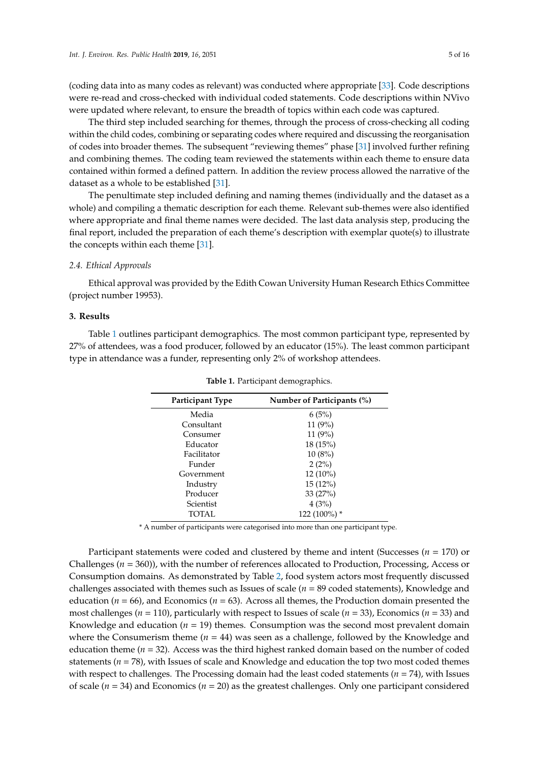(coding data into as many codes as relevant) was conducted where appropriate [\[33\]](#page-15-1). Code descriptions were re-read and cross-checked with individual coded statements. Code descriptions within NVivo were updated where relevant, to ensure the breadth of topics within each code was captured.

The third step included searching for themes, through the process of cross-checking all coding within the child codes, combining or separating codes where required and discussing the reorganisation of codes into broader themes. The subsequent "reviewing themes" phase [\[31\]](#page-14-25) involved further refining and combining themes. The coding team reviewed the statements within each theme to ensure data contained within formed a defined pattern. In addition the review process allowed the narrative of the dataset as a whole to be established [\[31\]](#page-14-25).

The penultimate step included defining and naming themes (individually and the dataset as a whole) and compiling a thematic description for each theme. Relevant sub-themes were also identified where appropriate and final theme names were decided. The last data analysis step, producing the final report, included the preparation of each theme's description with exemplar quote(s) to illustrate the concepts within each theme [\[31\]](#page-14-25).

#### *2.4. Ethical Approvals*

Ethical approval was provided by the Edith Cowan University Human Research Ethics Committee (project number 19953).

# **3. Results**

<span id="page-4-0"></span>Table [1](#page-4-0) outlines participant demographics. The most common participant type, represented by 27% of attendees, was a food producer, followed by an educator (15%). The least common participant type in attendance was a funder, representing only 2% of workshop attendees.

| Participant Type | Number of Participants (%) |
|------------------|----------------------------|
| Media            | 6(5%)                      |
| Consultant       | 11(9%)                     |
| Consumer         | 11 $(9%)$                  |
| Educator         | 18 (15%)                   |
| Facilitator      | 10(8%)                     |
| Funder           | 2(2%)                      |
| Government       | $12(10\%)$                 |
| Industry         | $15(12\%)$                 |
| Producer         | 33(27%)                    |
| Scientist        | 4(3%)                      |
| TOTAL            | $122(100\%)$ *             |

**Table 1.** Participant demographics.

\* A number of participants were categorised into more than one participant type.

Participant statements were coded and clustered by theme and intent (Successes (*n* = 170) or Challenges (*n* = 360)), with the number of references allocated to Production, Processing, Access or Consumption domains. As demonstrated by Table [2,](#page-5-0) food system actors most frequently discussed challenges associated with themes such as Issues of scale (*n* = 89 coded statements), Knowledge and education ( $n = 66$ ), and Economics ( $n = 63$ ). Across all themes, the Production domain presented the most challenges (*n* = 110), particularly with respect to Issues of scale (*n* = 33), Economics (*n* = 33) and Knowledge and education  $(n = 19)$  themes. Consumption was the second most prevalent domain where the Consumerism theme  $(n = 44)$  was seen as a challenge, followed by the Knowledge and education theme  $(n = 32)$ . Access was the third highest ranked domain based on the number of coded statements (*n* = 78), with Issues of scale and Knowledge and education the top two most coded themes with respect to challenges. The Processing domain had the least coded statements (*n* = 74), with Issues of scale ( $n = 34$ ) and Economics ( $n = 20$ ) as the greatest challenges. Only one participant considered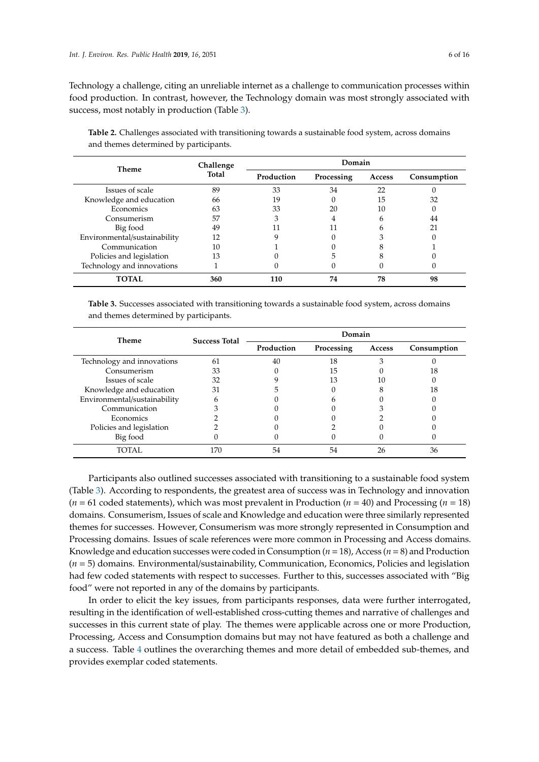Technology a challenge, citing an unreliable internet as a challenge to communication processes within food production. In contrast, however, the Technology domain was most strongly associated with success, most notably in production (Table [3\)](#page-5-1).

| Theme                        | Challenge | Domain     |            |        |             |
|------------------------------|-----------|------------|------------|--------|-------------|
|                              | Total     | Production | Processing | Access | Consumption |
| Issues of scale              | 89        | 33         | 34         | 22     |             |
| Knowledge and education      | 66        | 19         |            | 15     | 32          |
| Economics                    | 63        | 33         | 20         | 10     |             |
| Consumerism                  | 57        |            | 4          | h      | 44          |
| Big food                     | 49        |            | 11         | h      | 21          |
| Environmental/sustainability | 12        |            |            |        |             |
| Communication                | 10        |            |            |        |             |
| Policies and legislation     | 13        |            | 5          |        |             |
| Technology and innovations   |           |            |            |        |             |
| TOTAL                        | 360       | 110        | 74         | 78     | 98          |

<span id="page-5-0"></span>**Table 2.** Challenges associated with transitioning towards a sustainable food system, across domains and themes determined by participants.

<span id="page-5-1"></span>**Table 3.** Successes associated with transitioning towards a sustainable food system, across domains and themes determined by participants.

| Theme                        | <b>Success Total</b> | Domain     |            |        |             |
|------------------------------|----------------------|------------|------------|--------|-------------|
|                              |                      | Production | Processing | Access | Consumption |
| Technology and innovations   | 61                   | 40         | 18         |        |             |
| Consumerism                  | 33                   |            | 15         |        | 18          |
| Issues of scale              | 32                   |            | 13         | 10     |             |
| Knowledge and education      | 31                   |            |            |        | 18          |
| Environmental/sustainability |                      |            |            |        |             |
| Communication                |                      |            |            |        |             |
| Economics                    |                      |            |            |        |             |
| Policies and legislation     |                      |            |            |        |             |
| Big food                     |                      |            |            |        |             |
| TOTAL.                       |                      | 54         | 54         | 26     | 36          |

Participants also outlined successes associated with transitioning to a sustainable food system (Table [3\)](#page-5-1). According to respondents, the greatest area of success was in Technology and innovation  $(n = 61$  coded statements), which was most prevalent in Production  $(n = 40)$  and Processing  $(n = 18)$ domains. Consumerism, Issues of scale and Knowledge and education were three similarly represented themes for successes. However, Consumerism was more strongly represented in Consumption and Processing domains. Issues of scale references were more common in Processing and Access domains. Knowledge and education successes were coded in Consumption (*n* = 18), Access (*n* = 8) and Production (*n* = 5) domains. Environmental/sustainability, Communication, Economics, Policies and legislation had few coded statements with respect to successes. Further to this, successes associated with "Big food" were not reported in any of the domains by participants.

In order to elicit the key issues, from participants responses, data were further interrogated, resulting in the identification of well-established cross-cutting themes and narrative of challenges and successes in this current state of play. The themes were applicable across one or more Production, Processing, Access and Consumption domains but may not have featured as both a challenge and a success. Table [4](#page-7-0) outlines the overarching themes and more detail of embedded sub-themes, and provides exemplar coded statements.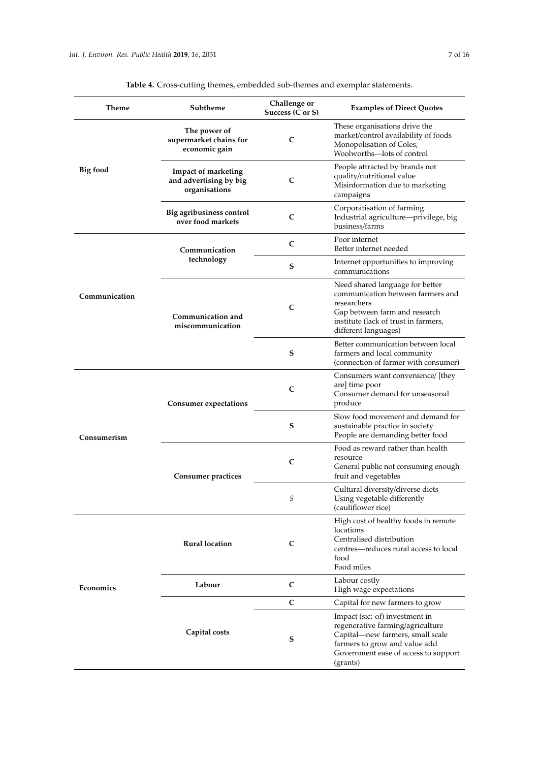| Theme         | Subtheme                                                              | Challenge or<br>Success (C or S) | <b>Examples of Direct Quotes</b>                                                                                                                                                            |
|---------------|-----------------------------------------------------------------------|----------------------------------|---------------------------------------------------------------------------------------------------------------------------------------------------------------------------------------------|
|               | The power of<br>supermarket chains for<br>economic gain               | C                                | These organisations drive the<br>market/control availability of foods<br>Monopolisation of Coles,<br>Woolworths-lots of control                                                             |
| Big food      | <b>Impact of marketing</b><br>and advertising by big<br>organisations | C                                | People attracted by brands not<br>quality/nutritional value<br>Misinformation due to marketing<br>campaigns                                                                                 |
|               | Big agribusiness control<br>over food markets                         | $\mathbf C$                      | Corporatisation of farming<br>Industrial agriculture-privilege, big<br>business/farms                                                                                                       |
| Communication | Communication<br>technology                                           | $\mathsf{C}$                     | Poor internet<br>Better internet needed                                                                                                                                                     |
|               |                                                                       | S                                | Internet opportunities to improving<br>communications                                                                                                                                       |
|               | Communication and<br>miscommunication                                 | C                                | Need shared language for better<br>communication between farmers and<br>researchers<br>Gap between farm and research<br>institute (lack of trust in farmers,<br>different languages)        |
|               |                                                                       | S                                | Better communication between local<br>farmers and local community<br>(connection of farmer with consumer)                                                                                   |
|               | <b>Consumer expectations</b>                                          | C                                | Consumers want convenience/ [they<br>are] time poor<br>Consumer demand for unseasonal<br>produce                                                                                            |
| Consumerism   |                                                                       | S                                | Slow food movement and demand for<br>sustainable practice in society<br>People are demanding better food                                                                                    |
|               | <b>Consumer practices</b>                                             | C                                | Food as reward rather than health<br>resource<br>General public not consuming enough<br>fruit and vegetables                                                                                |
|               |                                                                       | S                                | Cultural diversity/diverse diets<br>Using vegetable differently<br>(cauliflower rice)                                                                                                       |
| Economics     | <b>Rural location</b>                                                 | C                                | High cost of healthy foods in remote<br>locations<br>Centralised distribution<br>centres—reduces rural access to local<br>food<br>Food miles                                                |
|               | Labour                                                                | C                                | Labour costly<br>High wage expectations                                                                                                                                                     |
|               | Capital costs                                                         | $\mathsf{C}$                     | Capital for new farmers to grow                                                                                                                                                             |
|               |                                                                       | s                                | Impact (sic: of) investment in<br>regenerative farming/agriculture<br>Capital—new farmers, small scale<br>farmers to grow and value add<br>Government ease of access to support<br>(grants) |

# **Table 4.** Cross-cutting themes, embedded sub-themes and exemplar statements.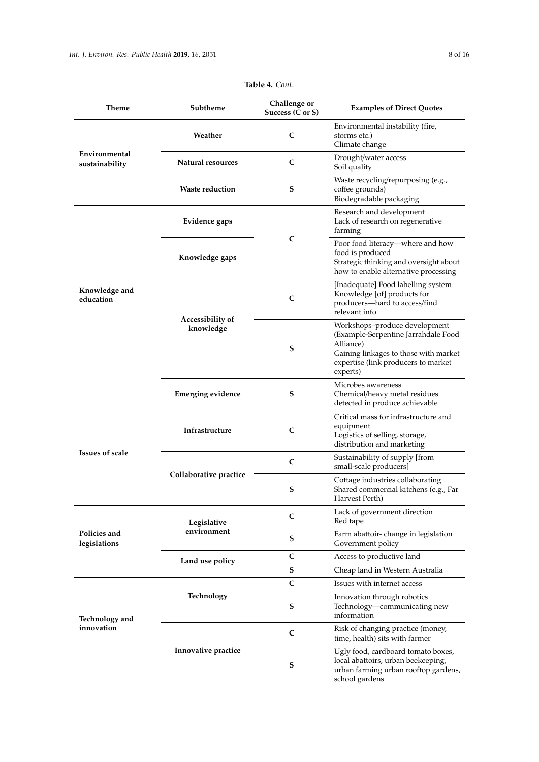<span id="page-7-0"></span>

| Theme                           | Subtheme                             | Challenge or<br>Success (C or S) | <b>Examples of Direct Quotes</b>                                                                                                                                              |
|---------------------------------|--------------------------------------|----------------------------------|-------------------------------------------------------------------------------------------------------------------------------------------------------------------------------|
| Environmental<br>sustainability | Weather                              | C                                | Environmental instability (fire,<br>storms etc.)<br>Climate change                                                                                                            |
|                                 | Natural resources                    | C                                | Drought/water access<br>Soil quality                                                                                                                                          |
|                                 | <b>Waste reduction</b>               | S                                | Waste recycling/repurposing (e.g.,<br>coffee grounds)<br>Biodegradable packaging                                                                                              |
| Knowledge and<br>education      | Evidence gaps                        |                                  | Research and development<br>Lack of research on regenerative<br>farming                                                                                                       |
|                                 | Knowledge gaps                       | C                                | Poor food literacy—where and how<br>food is produced<br>Strategic thinking and oversight about<br>how to enable alternative processing                                        |
|                                 | <b>Accessibility of</b><br>knowledge | C                                | [Inadequate] Food labelling system<br>Knowledge [of] products for<br>producers-hard to access/find<br>relevant info                                                           |
|                                 |                                      | S                                | Workshops-produce development<br>(Example-Serpentine Jarrahdale Food<br>Alliance)<br>Gaining linkages to those with market<br>expertise (link producers to market<br>experts) |
|                                 | <b>Emerging evidence</b>             | S                                | Microbes awareness<br>Chemical/heavy metal residues<br>detected in produce achievable                                                                                         |
| <b>Issues of scale</b>          | Infrastructure                       | C                                | Critical mass for infrastructure and<br>equipment<br>Logistics of selling, storage,<br>distribution and marketing                                                             |
|                                 | Collaborative practice               | C                                | Sustainability of supply [from<br>small-scale producers]                                                                                                                      |
|                                 |                                      | S                                | Cottage industries collaborating<br>Shared commercial kitchens (e.g., Far<br>Harvest Perth)                                                                                   |
| Policies and<br>legislations    | Legislative<br>environment           | C                                | Lack of government direction<br>Red tape                                                                                                                                      |
|                                 |                                      | S                                | Farm abattoir-change in legislation<br>Government policy                                                                                                                      |
|                                 | Land use policy                      | C                                | Access to productive land                                                                                                                                                     |
|                                 |                                      | S                                | Cheap land in Western Australia                                                                                                                                               |
|                                 |                                      | C                                | Issues with internet access                                                                                                                                                   |
| Technology and                  | Technology                           | S                                | Innovation through robotics<br>Technology-communicating new<br>information                                                                                                    |
| innovation                      |                                      | C                                | Risk of changing practice (money,<br>time, health) sits with farmer                                                                                                           |
|                                 | Innovative practice                  | S                                | Ugly food, cardboard tomato boxes,<br>local abattoirs, urban beekeeping,<br>urban farming urban rooftop gardens,                                                              |

school gardens

| <b>Table 4.</b> Cont. |  |
|-----------------------|--|
|-----------------------|--|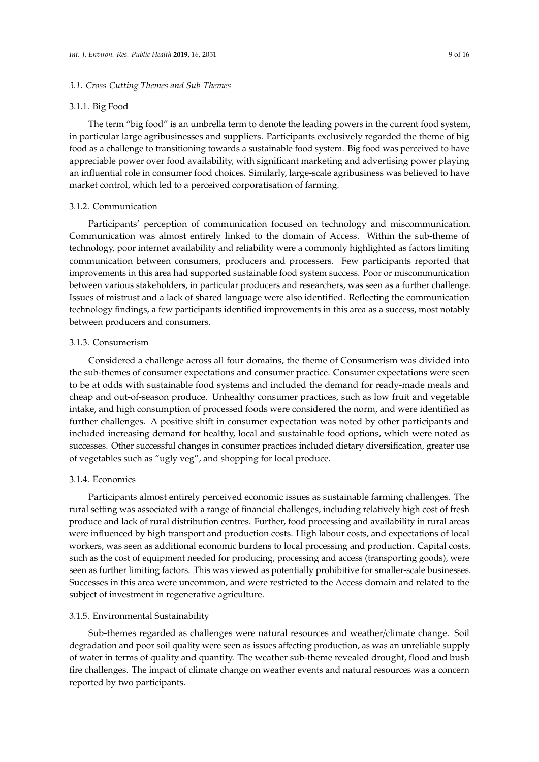### *3.1. Cross-Cutting Themes and Sub-Themes*

#### 3.1.1. Big Food

The term "big food" is an umbrella term to denote the leading powers in the current food system, in particular large agribusinesses and suppliers. Participants exclusively regarded the theme of big food as a challenge to transitioning towards a sustainable food system. Big food was perceived to have appreciable power over food availability, with significant marketing and advertising power playing an influential role in consumer food choices. Similarly, large-scale agribusiness was believed to have market control, which led to a perceived corporatisation of farming.

#### 3.1.2. Communication

Participants' perception of communication focused on technology and miscommunication. Communication was almost entirely linked to the domain of Access. Within the sub-theme of technology, poor internet availability and reliability were a commonly highlighted as factors limiting communication between consumers, producers and processers. Few participants reported that improvements in this area had supported sustainable food system success. Poor or miscommunication between various stakeholders, in particular producers and researchers, was seen as a further challenge. Issues of mistrust and a lack of shared language were also identified. Reflecting the communication technology findings, a few participants identified improvements in this area as a success, most notably between producers and consumers.

# 3.1.3. Consumerism

Considered a challenge across all four domains, the theme of Consumerism was divided into the sub-themes of consumer expectations and consumer practice. Consumer expectations were seen to be at odds with sustainable food systems and included the demand for ready-made meals and cheap and out-of-season produce. Unhealthy consumer practices, such as low fruit and vegetable intake, and high consumption of processed foods were considered the norm, and were identified as further challenges. A positive shift in consumer expectation was noted by other participants and included increasing demand for healthy, local and sustainable food options, which were noted as successes. Other successful changes in consumer practices included dietary diversification, greater use of vegetables such as "ugly veg", and shopping for local produce.

# 3.1.4. Economics

Participants almost entirely perceived economic issues as sustainable farming challenges. The rural setting was associated with a range of financial challenges, including relatively high cost of fresh produce and lack of rural distribution centres. Further, food processing and availability in rural areas were influenced by high transport and production costs. High labour costs, and expectations of local workers, was seen as additional economic burdens to local processing and production. Capital costs, such as the cost of equipment needed for producing, processing and access (transporting goods), were seen as further limiting factors. This was viewed as potentially prohibitive for smaller-scale businesses. Successes in this area were uncommon, and were restricted to the Access domain and related to the subject of investment in regenerative agriculture.

#### 3.1.5. Environmental Sustainability

Sub-themes regarded as challenges were natural resources and weather/climate change. Soil degradation and poor soil quality were seen as issues affecting production, as was an unreliable supply of water in terms of quality and quantity. The weather sub-theme revealed drought, flood and bush fire challenges. The impact of climate change on weather events and natural resources was a concern reported by two participants.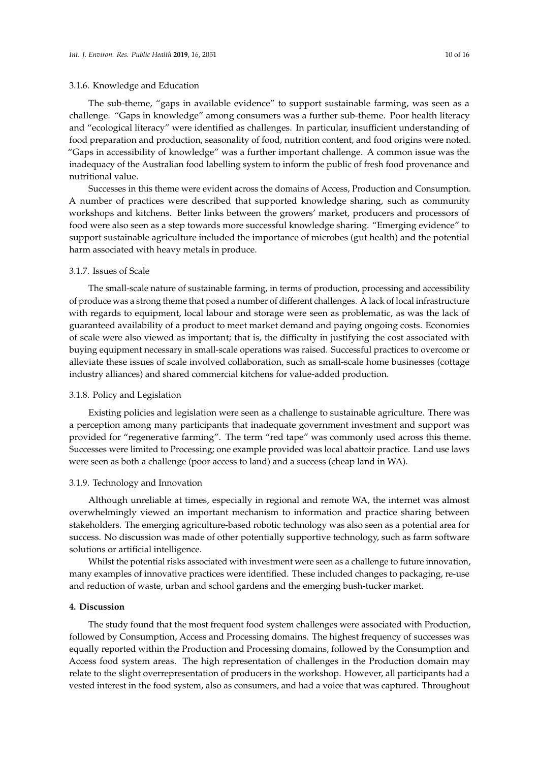#### 3.1.6. Knowledge and Education

The sub-theme, "gaps in available evidence" to support sustainable farming, was seen as a challenge. "Gaps in knowledge" among consumers was a further sub-theme. Poor health literacy and "ecological literacy" were identified as challenges. In particular, insufficient understanding of food preparation and production, seasonality of food, nutrition content, and food origins were noted. "Gaps in accessibility of knowledge" was a further important challenge. A common issue was the inadequacy of the Australian food labelling system to inform the public of fresh food provenance and nutritional value.

Successes in this theme were evident across the domains of Access, Production and Consumption. A number of practices were described that supported knowledge sharing, such as community workshops and kitchens. Better links between the growers' market, producers and processors of food were also seen as a step towards more successful knowledge sharing. "Emerging evidence" to support sustainable agriculture included the importance of microbes (gut health) and the potential harm associated with heavy metals in produce.

#### 3.1.7. Issues of Scale

The small-scale nature of sustainable farming, in terms of production, processing and accessibility of produce was a strong theme that posed a number of different challenges. A lack of local infrastructure with regards to equipment, local labour and storage were seen as problematic, as was the lack of guaranteed availability of a product to meet market demand and paying ongoing costs. Economies of scale were also viewed as important; that is, the difficulty in justifying the cost associated with buying equipment necessary in small-scale operations was raised. Successful practices to overcome or alleviate these issues of scale involved collaboration, such as small-scale home businesses (cottage industry alliances) and shared commercial kitchens for value-added production.

#### 3.1.8. Policy and Legislation

Existing policies and legislation were seen as a challenge to sustainable agriculture. There was a perception among many participants that inadequate government investment and support was provided for "regenerative farming". The term "red tape" was commonly used across this theme. Successes were limited to Processing; one example provided was local abattoir practice. Land use laws were seen as both a challenge (poor access to land) and a success (cheap land in WA).

### 3.1.9. Technology and Innovation

Although unreliable at times, especially in regional and remote WA, the internet was almost overwhelmingly viewed an important mechanism to information and practice sharing between stakeholders. The emerging agriculture-based robotic technology was also seen as a potential area for success. No discussion was made of other potentially supportive technology, such as farm software solutions or artificial intelligence.

Whilst the potential risks associated with investment were seen as a challenge to future innovation, many examples of innovative practices were identified. These included changes to packaging, re-use and reduction of waste, urban and school gardens and the emerging bush-tucker market.

# **4. Discussion**

The study found that the most frequent food system challenges were associated with Production, followed by Consumption, Access and Processing domains. The highest frequency of successes was equally reported within the Production and Processing domains, followed by the Consumption and Access food system areas. The high representation of challenges in the Production domain may relate to the slight overrepresentation of producers in the workshop. However, all participants had a vested interest in the food system, also as consumers, and had a voice that was captured. Throughout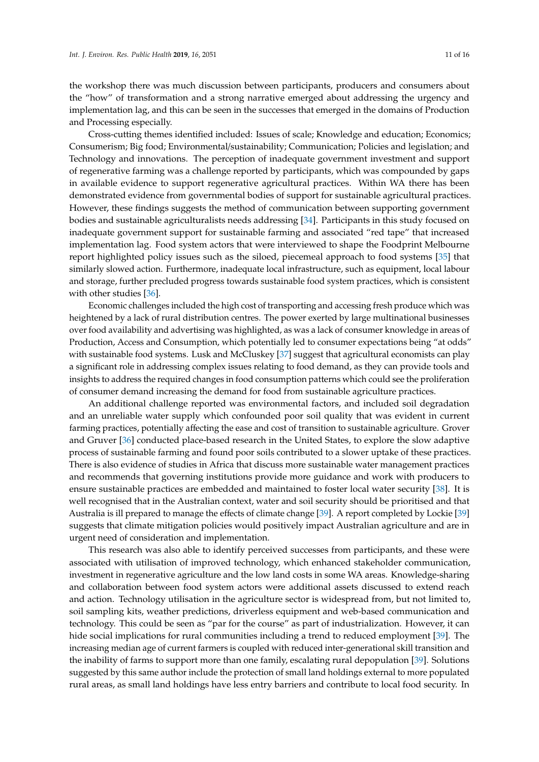the workshop there was much discussion between participants, producers and consumers about the "how" of transformation and a strong narrative emerged about addressing the urgency and implementation lag, and this can be seen in the successes that emerged in the domains of Production and Processing especially.

Cross-cutting themes identified included: Issues of scale; Knowledge and education; Economics; Consumerism; Big food; Environmental/sustainability; Communication; Policies and legislation; and Technology and innovations. The perception of inadequate government investment and support of regenerative farming was a challenge reported by participants, which was compounded by gaps in available evidence to support regenerative agricultural practices. Within WA there has been demonstrated evidence from governmental bodies of support for sustainable agricultural practices. However, these findings suggests the method of communication between supporting government bodies and sustainable agriculturalists needs addressing [\[34\]](#page-15-2). Participants in this study focused on inadequate government support for sustainable farming and associated "red tape" that increased implementation lag. Food system actors that were interviewed to shape the Foodprint Melbourne report highlighted policy issues such as the siloed, piecemeal approach to food systems [\[35\]](#page-15-3) that similarly slowed action. Furthermore, inadequate local infrastructure, such as equipment, local labour and storage, further precluded progress towards sustainable food system practices, which is consistent with other studies [\[36\]](#page-15-4).

Economic challenges included the high cost of transporting and accessing fresh produce which was heightened by a lack of rural distribution centres. The power exerted by large multinational businesses over food availability and advertising was highlighted, as was a lack of consumer knowledge in areas of Production, Access and Consumption, which potentially led to consumer expectations being "at odds" with sustainable food systems. Lusk and McCluskey [\[37\]](#page-15-5) suggest that agricultural economists can play a significant role in addressing complex issues relating to food demand, as they can provide tools and insights to address the required changes in food consumption patterns which could see the proliferation of consumer demand increasing the demand for food from sustainable agriculture practices.

An additional challenge reported was environmental factors, and included soil degradation and an unreliable water supply which confounded poor soil quality that was evident in current farming practices, potentially affecting the ease and cost of transition to sustainable agriculture. Grover and Gruver [\[36\]](#page-15-4) conducted place-based research in the United States, to explore the slow adaptive process of sustainable farming and found poor soils contributed to a slower uptake of these practices. There is also evidence of studies in Africa that discuss more sustainable water management practices and recommends that governing institutions provide more guidance and work with producers to ensure sustainable practices are embedded and maintained to foster local water security [\[38\]](#page-15-6). It is well recognised that in the Australian context, water and soil security should be prioritised and that Australia is ill prepared to manage the effects of climate change [\[39\]](#page-15-7). A report completed by Lockie [\[39\]](#page-15-7) suggests that climate mitigation policies would positively impact Australian agriculture and are in urgent need of consideration and implementation.

This research was also able to identify perceived successes from participants, and these were associated with utilisation of improved technology, which enhanced stakeholder communication, investment in regenerative agriculture and the low land costs in some WA areas. Knowledge-sharing and collaboration between food system actors were additional assets discussed to extend reach and action. Technology utilisation in the agriculture sector is widespread from, but not limited to, soil sampling kits, weather predictions, driverless equipment and web-based communication and technology. This could be seen as "par for the course" as part of industrialization. However, it can hide social implications for rural communities including a trend to reduced employment [\[39\]](#page-15-7). The increasing median age of current farmers is coupled with reduced inter-generational skill transition and the inability of farms to support more than one family, escalating rural depopulation [\[39\]](#page-15-7). Solutions suggested by this same author include the protection of small land holdings external to more populated rural areas, as small land holdings have less entry barriers and contribute to local food security. In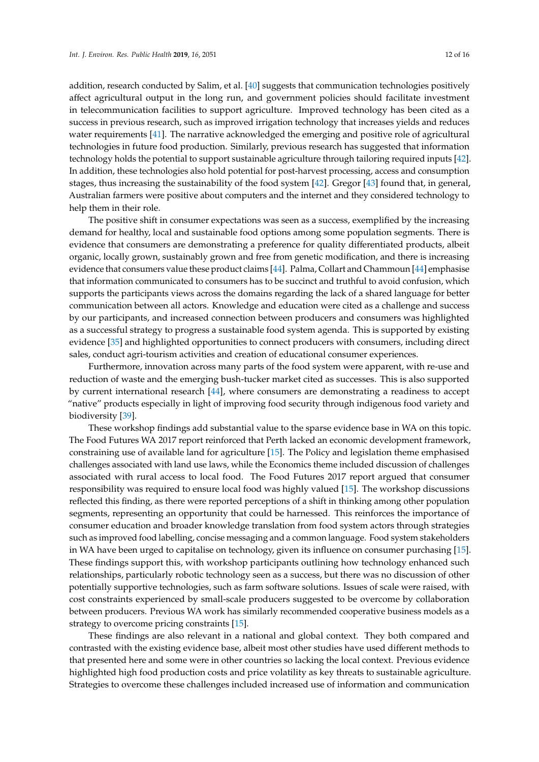addition, research conducted by Salim, et al. [\[40\]](#page-15-8) suggests that communication technologies positively affect agricultural output in the long run, and government policies should facilitate investment in telecommunication facilities to support agriculture. Improved technology has been cited as a success in previous research, such as improved irrigation technology that increases yields and reduces water requirements [\[41\]](#page-15-9). The narrative acknowledged the emerging and positive role of agricultural technologies in future food production. Similarly, previous research has suggested that information technology holds the potential to support sustainable agriculture through tailoring required inputs [\[42\]](#page-15-10). In addition, these technologies also hold potential for post-harvest processing, access and consumption stages, thus increasing the sustainability of the food system [\[42\]](#page-15-10). Gregor [\[43\]](#page-15-11) found that, in general, Australian farmers were positive about computers and the internet and they considered technology to help them in their role.

The positive shift in consumer expectations was seen as a success, exemplified by the increasing demand for healthy, local and sustainable food options among some population segments. There is evidence that consumers are demonstrating a preference for quality differentiated products, albeit organic, locally grown, sustainably grown and free from genetic modification, and there is increasing evidence that consumers value these product claims [\[44\]](#page-15-12). Palma, Collart and Chammoun [\[44\]](#page-15-12) emphasise that information communicated to consumers has to be succinct and truthful to avoid confusion, which supports the participants views across the domains regarding the lack of a shared language for better communication between all actors. Knowledge and education were cited as a challenge and success by our participants, and increased connection between producers and consumers was highlighted as a successful strategy to progress a sustainable food system agenda. This is supported by existing evidence [\[35\]](#page-15-3) and highlighted opportunities to connect producers with consumers, including direct sales, conduct agri-tourism activities and creation of educational consumer experiences.

Furthermore, innovation across many parts of the food system were apparent, with re-use and reduction of waste and the emerging bush-tucker market cited as successes. This is also supported by current international research [\[44\]](#page-15-12), where consumers are demonstrating a readiness to accept "native" products especially in light of improving food security through indigenous food variety and biodiversity [\[39\]](#page-15-7).

These workshop findings add substantial value to the sparse evidence base in WA on this topic. The Food Futures WA 2017 report reinforced that Perth lacked an economic development framework, constraining use of available land for agriculture [\[15\]](#page-14-9). The Policy and legislation theme emphasised challenges associated with land use laws, while the Economics theme included discussion of challenges associated with rural access to local food. The Food Futures 2017 report argued that consumer responsibility was required to ensure local food was highly valued [\[15\]](#page-14-9). The workshop discussions reflected this finding, as there were reported perceptions of a shift in thinking among other population segments, representing an opportunity that could be harnessed. This reinforces the importance of consumer education and broader knowledge translation from food system actors through strategies such as improved food labelling, concise messaging and a common language. Food system stakeholders in WA have been urged to capitalise on technology, given its influence on consumer purchasing [\[15\]](#page-14-9). These findings support this, with workshop participants outlining how technology enhanced such relationships, particularly robotic technology seen as a success, but there was no discussion of other potentially supportive technologies, such as farm software solutions. Issues of scale were raised, with cost constraints experienced by small-scale producers suggested to be overcome by collaboration between producers. Previous WA work has similarly recommended cooperative business models as a strategy to overcome pricing constraints [\[15\]](#page-14-9).

These findings are also relevant in a national and global context. They both compared and contrasted with the existing evidence base, albeit most other studies have used different methods to that presented here and some were in other countries so lacking the local context. Previous evidence highlighted high food production costs and price volatility as key threats to sustainable agriculture. Strategies to overcome these challenges included increased use of information and communication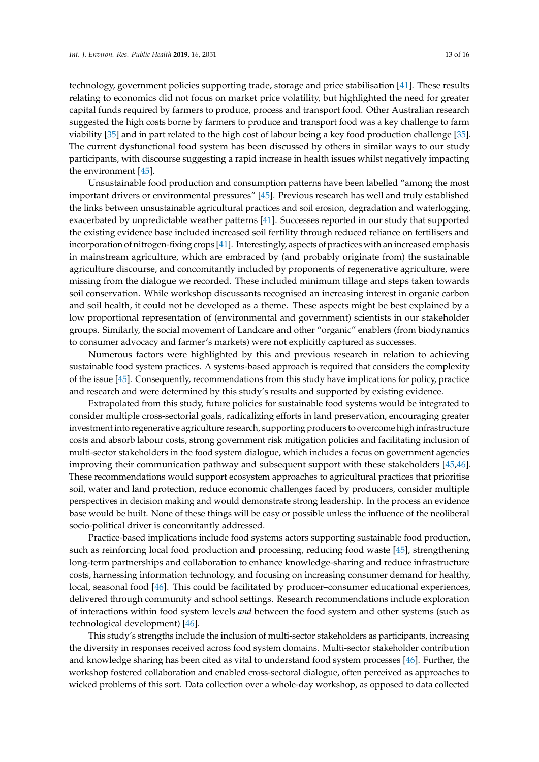technology, government policies supporting trade, storage and price stabilisation [\[41\]](#page-15-9). These results relating to economics did not focus on market price volatility, but highlighted the need for greater capital funds required by farmers to produce, process and transport food. Other Australian research suggested the high costs borne by farmers to produce and transport food was a key challenge to farm viability [\[35\]](#page-15-3) and in part related to the high cost of labour being a key food production challenge [\[35\]](#page-15-3). The current dysfunctional food system has been discussed by others in similar ways to our study participants, with discourse suggesting a rapid increase in health issues whilst negatively impacting the environment [\[45\]](#page-15-13).

Unsustainable food production and consumption patterns have been labelled "among the most important drivers or environmental pressures" [\[45\]](#page-15-13). Previous research has well and truly established the links between unsustainable agricultural practices and soil erosion, degradation and waterlogging, exacerbated by unpredictable weather patterns [\[41\]](#page-15-9). Successes reported in our study that supported the existing evidence base included increased soil fertility through reduced reliance on fertilisers and incorporation of nitrogen-fixing crops [\[41\]](#page-15-9). Interestingly, aspects of practices with an increased emphasis in mainstream agriculture, which are embraced by (and probably originate from) the sustainable agriculture discourse, and concomitantly included by proponents of regenerative agriculture, were missing from the dialogue we recorded. These included minimum tillage and steps taken towards soil conservation. While workshop discussants recognised an increasing interest in organic carbon and soil health, it could not be developed as a theme. These aspects might be best explained by a low proportional representation of (environmental and government) scientists in our stakeholder groups. Similarly, the social movement of Landcare and other "organic" enablers (from biodynamics to consumer advocacy and farmer's markets) were not explicitly captured as successes.

Numerous factors were highlighted by this and previous research in relation to achieving sustainable food system practices. A systems-based approach is required that considers the complexity of the issue [\[45\]](#page-15-13). Consequently, recommendations from this study have implications for policy, practice and research and were determined by this study's results and supported by existing evidence.

Extrapolated from this study, future policies for sustainable food systems would be integrated to consider multiple cross-sectorial goals, radicalizing efforts in land preservation, encouraging greater investment into regenerative agriculture research, supporting producers to overcome high infrastructure costs and absorb labour costs, strong government risk mitigation policies and facilitating inclusion of multi-sector stakeholders in the food system dialogue, which includes a focus on government agencies improving their communication pathway and subsequent support with these stakeholders [\[45,](#page-15-13)[46\]](#page-15-14). These recommendations would support ecosystem approaches to agricultural practices that prioritise soil, water and land protection, reduce economic challenges faced by producers, consider multiple perspectives in decision making and would demonstrate strong leadership. In the process an evidence base would be built. None of these things will be easy or possible unless the influence of the neoliberal socio-political driver is concomitantly addressed.

Practice-based implications include food systems actors supporting sustainable food production, such as reinforcing local food production and processing, reducing food waste [\[45\]](#page-15-13), strengthening long-term partnerships and collaboration to enhance knowledge-sharing and reduce infrastructure costs, harnessing information technology, and focusing on increasing consumer demand for healthy, local, seasonal food [\[46\]](#page-15-14). This could be facilitated by producer–consumer educational experiences, delivered through community and school settings. Research recommendations include exploration of interactions within food system levels *and* between the food system and other systems (such as technological development) [\[46\]](#page-15-14).

This study's strengths include the inclusion of multi-sector stakeholders as participants, increasing the diversity in responses received across food system domains. Multi-sector stakeholder contribution and knowledge sharing has been cited as vital to understand food system processes [\[46\]](#page-15-14). Further, the workshop fostered collaboration and enabled cross-sectoral dialogue, often perceived as approaches to wicked problems of this sort. Data collection over a whole-day workshop, as opposed to data collected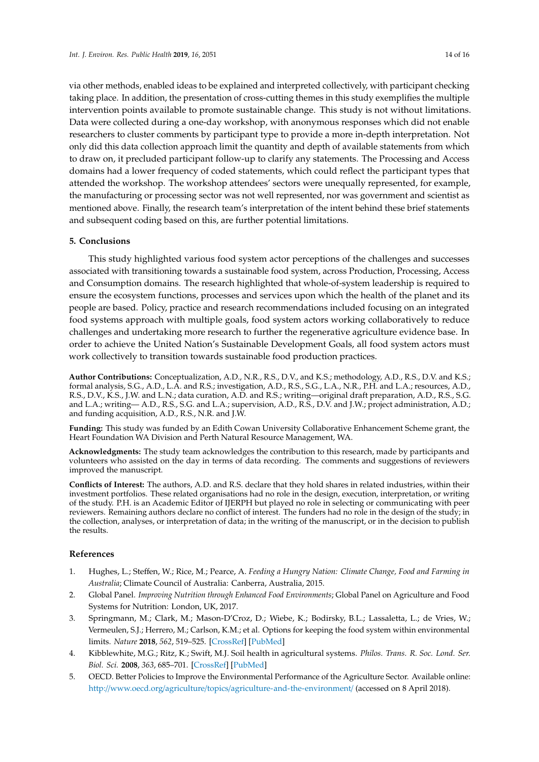via other methods, enabled ideas to be explained and interpreted collectively, with participant checking taking place. In addition, the presentation of cross-cutting themes in this study exemplifies the multiple intervention points available to promote sustainable change. This study is not without limitations. Data were collected during a one-day workshop, with anonymous responses which did not enable researchers to cluster comments by participant type to provide a more in-depth interpretation. Not only did this data collection approach limit the quantity and depth of available statements from which to draw on, it precluded participant follow-up to clarify any statements. The Processing and Access domains had a lower frequency of coded statements, which could reflect the participant types that attended the workshop. The workshop attendees' sectors were unequally represented, for example, the manufacturing or processing sector was not well represented, nor was government and scientist as mentioned above. Finally, the research team's interpretation of the intent behind these brief statements and subsequent coding based on this, are further potential limitations.

# **5. Conclusions**

This study highlighted various food system actor perceptions of the challenges and successes associated with transitioning towards a sustainable food system, across Production, Processing, Access and Consumption domains. The research highlighted that whole-of-system leadership is required to ensure the ecosystem functions, processes and services upon which the health of the planet and its people are based. Policy, practice and research recommendations included focusing on an integrated food systems approach with multiple goals, food system actors working collaboratively to reduce challenges and undertaking more research to further the regenerative agriculture evidence base. In order to achieve the United Nation's Sustainable Development Goals, all food system actors must work collectively to transition towards sustainable food production practices.

**Author Contributions:** Conceptualization, A.D., N.R., R.S., D.V., and K.S.; methodology, A.D., R.S., D.V. and K.S.; formal analysis, S.G., A.D., L.A. and R.S.; investigation, A.D., R.S., S.G., L.A., N.R., P.H. and L.A.; resources, A.D., R.S., D.V., K.S., J.W. and L.N.; data curation, A.D. and R.S.; writing—original draft preparation, A.D., R.S., S.G. and L.A.; writing— A.D., R.S., S.G. and L.A.; supervision, A.D., R.S., D.V. and J.W.; project administration, A.D.; and funding acquisition, A.D., R.S., N.R. and J.W.

**Funding:** This study was funded by an Edith Cowan University Collaborative Enhancement Scheme grant, the Heart Foundation WA Division and Perth Natural Resource Management, WA.

**Acknowledgments:** The study team acknowledges the contribution to this research, made by participants and volunteers who assisted on the day in terms of data recording. The comments and suggestions of reviewers improved the manuscript.

**Conflicts of Interest:** The authors, A.D. and R.S. declare that they hold shares in related industries, within their investment portfolios. These related organisations had no role in the design, execution, interpretation, or writing of the study. P.H. is an Academic Editor of IJERPH but played no role in selecting or communicating with peer reviewers. Remaining authors declare no conflict of interest. The funders had no role in the design of the study; in the collection, analyses, or interpretation of data; in the writing of the manuscript, or in the decision to publish the results.

# **References**

- <span id="page-13-0"></span>1. Hughes, L.; Steffen, W.; Rice, M.; Pearce, A. *Feeding a Hungry Nation: Climate Change, Food and Farming in Australia*; Climate Council of Australia: Canberra, Australia, 2015.
- <span id="page-13-1"></span>2. Global Panel. *Improving Nutrition through Enhanced Food Environments*; Global Panel on Agriculture and Food Systems for Nutrition: London, UK, 2017.
- <span id="page-13-2"></span>3. Springmann, M.; Clark, M.; Mason-D'Croz, D.; Wiebe, K.; Bodirsky, B.L.; Lassaletta, L.; de Vries, W.; Vermeulen, S.J.; Herrero, M.; Carlson, K.M.; et al. Options for keeping the food system within environmental limits. *Nature* **2018**, *562*, 519–525. [\[CrossRef\]](http://dx.doi.org/10.1038/s41586-018-0594-0) [\[PubMed\]](http://www.ncbi.nlm.nih.gov/pubmed/30305731)
- <span id="page-13-3"></span>4. Kibblewhite, M.G.; Ritz, K.; Swift, M.J. Soil health in agricultural systems. *Philos. Trans. R. Soc. Lond. Ser. Biol. Sci.* **2008**, *363*, 685–701. [\[CrossRef\]](http://dx.doi.org/10.1098/rstb.2007.2178) [\[PubMed\]](http://www.ncbi.nlm.nih.gov/pubmed/17785275)
- <span id="page-13-4"></span>5. OECD. Better Policies to Improve the Environmental Performance of the Agriculture Sector. Available online: http://www.oecd.org/agriculture/topics/[agriculture-and-the-environment](http://www.oecd.org/agriculture/topics/agriculture-and-the-environment/)/ (accessed on 8 April 2018).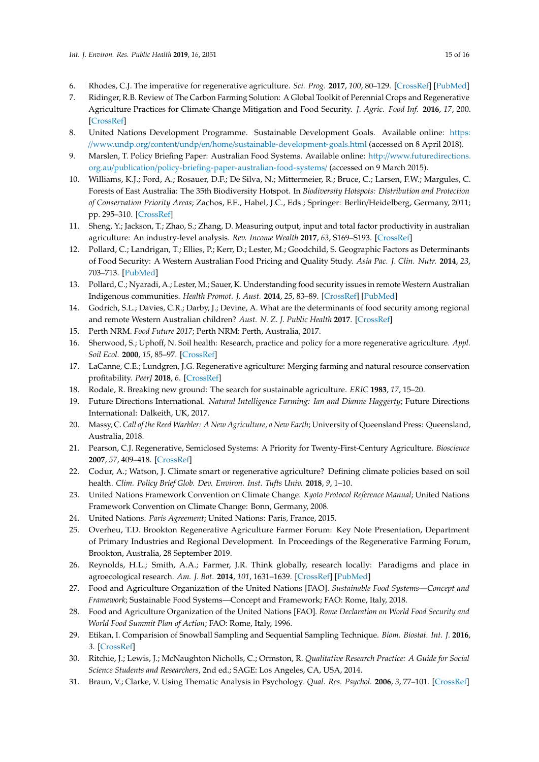- <span id="page-14-0"></span>6. Rhodes, C.J. The imperative for regenerative agriculture. *Sci. Prog.* **2017**, *100*, 80–129. [\[CrossRef\]](http://dx.doi.org/10.3184/003685017X14876775256165) [\[PubMed\]](http://www.ncbi.nlm.nih.gov/pubmed/28693674)
- <span id="page-14-1"></span>7. Ridinger, R.B. Review of The Carbon Farming Solution: A Global Toolkit of Perennial Crops and Regenerative Agriculture Practices for Climate Change Mitigation and Food Security. *J. Agric. Food Inf.* **2016**, *17*, 200. [\[CrossRef\]](http://dx.doi.org/10.1080/10496505.2016.1185343)
- <span id="page-14-2"></span>8. United Nations Development Programme. Sustainable Development Goals. Available online: [https:](https://www.undp.org/content/undp/en/home/sustainable-development-goals.html) //www.undp.org/content/undp/en/home/[sustainable-development-goals.html](https://www.undp.org/content/undp/en/home/sustainable-development-goals.html) (accessed on 8 April 2018).
- <span id="page-14-3"></span>9. Marslen, T. Policy Briefing Paper: Australian Food Systems. Available online: http://[www.futuredirections.](http://www.futuredirections.org.au/publication/policy-briefing-paper-australian-food-systems/) org.au/publication/[policy-briefing-paper-australian-food-systems](http://www.futuredirections.org.au/publication/policy-briefing-paper-australian-food-systems/)/ (accessed on 9 March 2015).
- <span id="page-14-4"></span>10. Williams, K.J.; Ford, A.; Rosauer, D.F.; De Silva, N.; Mittermeier, R.; Bruce, C.; Larsen, F.W.; Margules, C. Forests of East Australia: The 35th Biodiversity Hotspot. In *Biodiversity Hotspots: Distribution and Protection of Conservation Priority Areas*; Zachos, F.E., Habel, J.C., Eds.; Springer: Berlin/Heidelberg, Germany, 2011; pp. 295–310. [\[CrossRef\]](http://dx.doi.org/10.1007/978-3-642-20992-5_16)
- <span id="page-14-5"></span>11. Sheng, Y.; Jackson, T.; Zhao, S.; Zhang, D. Measuring output, input and total factor productivity in australian agriculture: An industry-level analysis. *Rev. Income Wealth* **2017**, *63*, S169–S193. [\[CrossRef\]](http://dx.doi.org/10.1111/roiw.12250)
- <span id="page-14-6"></span>12. Pollard, C.; Landrigan, T.; Ellies, P.; Kerr, D.; Lester, M.; Goodchild, S. Geographic Factors as Determinants of Food Security: A Western Australian Food Pricing and Quality Study. *Asia Pac. J. Clin. Nutr.* **2014**, *23*, 703–713. [\[PubMed\]](http://www.ncbi.nlm.nih.gov/pubmed/25516329)
- <span id="page-14-7"></span>13. Pollard, C.; Nyaradi, A.; Lester, M.; Sauer, K. Understanding food security issues in remote Western Australian Indigenous communities. *Health Promot. J. Aust.* **2014**, *25*, 83–89. [\[CrossRef\]](http://dx.doi.org/10.1071/HE14044) [\[PubMed\]](http://www.ncbi.nlm.nih.gov/pubmed/25186099)
- <span id="page-14-8"></span>14. Godrich, S.L.; Davies, C.R.; Darby, J.; Devine, A. What are the determinants of food security among regional and remote Western Australian children? *Aust. N. Z. J. Public Health* **2017**. [\[CrossRef\]](http://dx.doi.org/10.1111/1753-6405.12636)
- <span id="page-14-9"></span>15. Perth NRM. *Food Future 2017*; Perth NRM: Perth, Australia, 2017.
- <span id="page-14-10"></span>16. Sherwood, S.; Uphoff, N. Soil health: Research, practice and policy for a more regenerative agriculture. *Appl. Soil Ecol.* **2000**, *15*, 85–97. [\[CrossRef\]](http://dx.doi.org/10.1016/S0929-1393(00)00074-3)
- <span id="page-14-11"></span>17. LaCanne, C.E.; Lundgren, J.G. Regenerative agriculture: Merging farming and natural resource conservation profitability. *PeerJ* **2018**, *6*. [\[CrossRef\]](http://dx.doi.org/10.7717/peerj.4428)
- <span id="page-14-12"></span>18. Rodale, R. Breaking new ground: The search for sustainable agriculture. *ERIC* **1983**, *17*, 15–20.
- <span id="page-14-13"></span>19. Future Directions International. *Natural Intelligence Farming: Ian and Dianne Haggerty*; Future Directions International: Dalkeith, UK, 2017.
- <span id="page-14-14"></span>20. Massy, C. *Call of the Reed Warbler: A New Agriculture, a New Earth*; University of Queensland Press: Queensland, Australia, 2018.
- <span id="page-14-15"></span>21. Pearson, C.J. Regenerative, Semiclosed Systems: A Priority for Twenty-First-Century Agriculture. *Bioscience* **2007**, *57*, 409–418. [\[CrossRef\]](http://dx.doi.org/10.1641/B570506)
- <span id="page-14-16"></span>22. Codur, A.; Watson, J. Climate smart or regenerative agriculture? Defining climate policies based on soil health. *Clim. Policy Brief Glob. Dev. Environ. Inst. Tufts Univ.* **2018**, *9*, 1–10.
- <span id="page-14-17"></span>23. United Nations Framework Convention on Climate Change. *Kyoto Protocol Reference Manual*; United Nations Framework Convention on Climate Change: Bonn, Germany, 2008.
- <span id="page-14-18"></span>24. United Nations. *Paris Agreement*; United Nations: Paris, France, 2015.
- <span id="page-14-19"></span>25. Overheu, T.D. Brookton Regenerative Agriculture Farmer Forum: Key Note Presentation, Department of Primary Industries and Regional Development. In Proceedings of the Regenerative Farming Forum, Brookton, Australia, 28 September 2019.
- <span id="page-14-20"></span>26. Reynolds, H.L.; Smith, A.A.; Farmer, J.R. Think globally, research locally: Paradigms and place in agroecological research. *Am. J. Bot.* **2014**, *101*, 1631–1639. [\[CrossRef\]](http://dx.doi.org/10.3732/ajb.1400146) [\[PubMed\]](http://www.ncbi.nlm.nih.gov/pubmed/25326612)
- <span id="page-14-21"></span>27. Food and Agriculture Organization of the United Nations [FAO]. *Sustainable Food Systems—Concept and Framework*; Sustainable Food Systems—Concept and Framework; FAO: Rome, Italy, 2018.
- <span id="page-14-22"></span>28. Food and Agriculture Organization of the United Nations [FAO]. *Rome Declaration on World Food Security and World Food Summit Plan of Action*; FAO: Rome, Italy, 1996.
- <span id="page-14-23"></span>29. Etikan, I. Comparision of Snowball Sampling and Sequential Sampling Technique. *Biom. Biostat. Int. J.* **2016**, *3*. [\[CrossRef\]](http://dx.doi.org/10.15406/bbij.2016.03.00055)
- <span id="page-14-24"></span>30. Ritchie, J.; Lewis, J.; McNaughton Nicholls, C.; Ormston, R. *Qualitative Research Practice: A Guide for Social Science Students and Researchers*, 2nd ed.; SAGE: Los Angeles, CA, USA, 2014.
- <span id="page-14-25"></span>31. Braun, V.; Clarke, V. Using Thematic Analysis in Psychology. *Qual. Res. Psychol.* **2006**, *3*, 77–101. [\[CrossRef\]](http://dx.doi.org/10.1191/1478088706qp063oa)